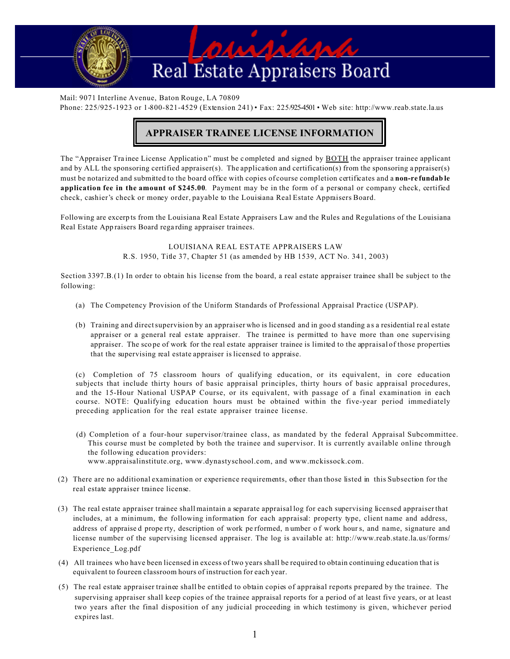

Mail: 9071 Interline Avenue, Baton Rouge, LA 70809 Phone: 225/925-1923 or 1-800-821-4529 (Extension 241) • Fax: 225/925-4501 • Web site: http://www.reab.state.la.us

## **APPRAISER TRAINEE LICENSE INFORMATION**

The "Appraiser Trainee License Application" must be completed and signed by BOTH the appraiser trainee applicant and by ALL the sponsoring certified appraiser(s). The application and certification(s) from the sponsoring appraiser(s) must be notarized and submitted to the board office with copies of course completion certificates and a **non-refundab le application fee in the amount of \$245.00**. Payment may be in the form of a personal or company check, certified check, cashier's check or money order, payable to the Louisiana Real Estate Appraisers Board.

Following are excerp ts from the Louisiana Real Estate Appraisers Law and the Rules and Regulations of the Louisiana Real Estate Appraisers Board regarding appraiser trainees.

> LOUISIANA REAL ESTATE APPRAISERS LAW R.S. 1950, Title 37, Chapter 51 (as amended by HB 1539, ACT No. 341, 2003)

Section 3397.B.(1) In order to obtain his license from the board, a real estate appraiser trainee shall be subject to the following:

- (a) The Competency Provision of the Uniform Standards of Professional Appraisal Practice (USPAP).
- (b) Training and direct supervision by an appraiser who is licensed and in good standing as a residential real estate appraiser or a general real estate appraiser. The trainee is permitted to have more than one supervising appraiser. The scope of work for the real estate appraiser trainee is limited to the appraisal of those properties that the supervising real estate appraiser is licensed to appraise.

(c) Completion of 75 classroom hours of qualifying education, or its equivalent, in core education subjects that include thirty hours of basic appraisal principles, thirty hours of basic appraisal procedures, and the 15-Hour National USPAP Course, or its equivalent, with passage of a final examination in each course. NOTE: Qualifying education hours must be obtained within the five-year period immediately preceding application for the real estate appraiser trainee license.

- (d) Completion of a four-hour supervisor/trainee class, as mandated by the federal Appraisal Subcommittee. This course must be completed by both the trainee and supervisor. It is currently available online through the following education providers: www.appraisalinstitute.org, www.dynastyschool.com, and www.mckissock.com.
- (2) There are no additional examination or experience requirements, other than those listed in this Subsection for the real estate appraiser trainee license.
- (3) The real estate appraiser trainee shall maintain a separate appraisal log for each supervising licensed appraiser that includes, at a minimum, the following information for each appraisal: property type, client name and address, address of appraise d prope rty, description of work pe rformed, n umber o f work hours, and name, signature and license number of the supervising licensed appraiser. The log is available at: http://www.reab.state.la.us/forms/ Experience\_Log.pdf
- (4) All trainees who have been licensed in excess of two years shall be required to obtain continuing education that is equivalent to foureen classroom hours of instruction for each year.
- (5) The real estate appraiser trainee shall be entitled to obtain copies of appraisal reports prepared by the trainee. The supervising appraiser shall keep copies of the trainee appraisal reports for a period of at least five years, or at least two years after the final disposition of any judicial proceeding in which testimony is given, whichever period expires last.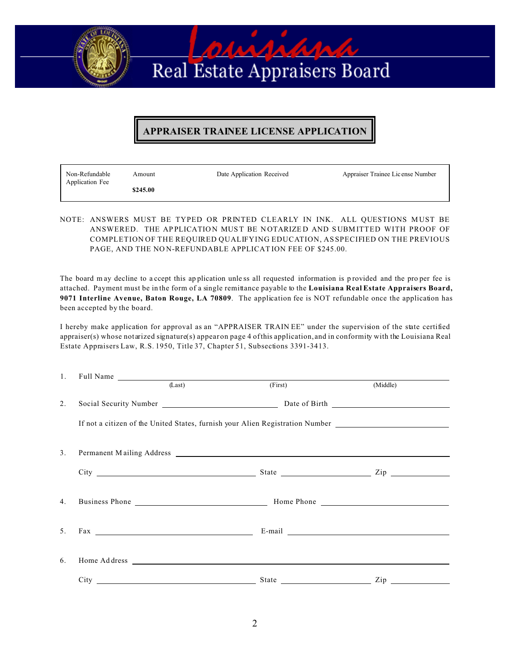# parapapap Real Estate Appraisers Board

### **APPRAISER TRAINEE LICENSE APPLICATION**

| Non-Refundable<br>Application Fee | Amount   | Date Application Received | Appraiser Trainee License Number |
|-----------------------------------|----------|---------------------------|----------------------------------|
|                                   | \$245.00 |                           |                                  |

NOTE: ANSWERS MUST BE TYPED OR PRINTED CLEARLY IN INK. ALL QUESTIONS MUST BE ANSWERED. THE APPLICATION MUST BE NOTARIZED AND SUBMITTED WITH PROOF OF COMPLETION OF THE REQUIRED QUALIFYING EDUCATION, AS SPECIFIED ON THE PREVIOUS PAGE, AND THE NO N-REFUNDABLE APPLICATION FEE OF \$245.00.

The board may decline to a ccept this application unless all requested information is provided and the pro per fee is attached. Payment must be in the form of a single remittance payable to the **Louisiana Real Estate Appraisers Board, 9071 Interline Avenue, Baton Rouge, LA 70809**. The application fee is NOT refundable once the application has been accepted by the board.

I hereby make application for approval as an "APPRAISER TRAIN EE" under the supervision of the state certified appraiser(s) whose not arized signature(s) appear on page 4 of this application, and in conformity with the Louisiana Real Estate Appraisers Law, R.S. 1950, Title 37, Chapter 51, Subsections 3391-3413.

|    | 1. Full Name <u>and the contract of the set of the set of the set of the set of the set of the set of the set of the set of the set of the set of the set of the set of the set of the set of the set of the set of the set of t</u>                                                             |                                                                                           |                |  |  |  |
|----|--------------------------------------------------------------------------------------------------------------------------------------------------------------------------------------------------------------------------------------------------------------------------------------------------|-------------------------------------------------------------------------------------------|----------------|--|--|--|
|    | (Last)                                                                                                                                                                                                                                                                                           | (First)                                                                                   | (Middle)       |  |  |  |
| 2. |                                                                                                                                                                                                                                                                                                  |                                                                                           |                |  |  |  |
|    |                                                                                                                                                                                                                                                                                                  |                                                                                           |                |  |  |  |
| 3. | Permanent Mailing Address Land and Secretary Address Land and Secretary Address Land and Secretary Address Land and Secretary Address Land and Secretary Address Land and Secretary Address Land and Secretary Address Land an                                                                   |                                                                                           |                |  |  |  |
|    |                                                                                                                                                                                                                                                                                                  |                                                                                           |                |  |  |  |
| 4. |                                                                                                                                                                                                                                                                                                  |                                                                                           |                |  |  |  |
| 5. | $\text{Fax}$ and $\text{Fax}$ and $\text{Fax}$ are $\text{Fax}$ and $\text{Fax}$ are $\text{Fax}$ and $\text{Fax}$ are $\text{Fax}$ and $\text{Fax}$ are $\text{Fax}$ and $\text{Fax}$ are $\text{Fax}$ and $\text{Fax}$ are $\text{Fax}$ and $\text{Fax}$ and $\text{Fax}$ are $\text{Fax}$ and |                                                                                           |                |  |  |  |
| 6. |                                                                                                                                                                                                                                                                                                  | Home Address <u>and the second control of the second control of the second control of</u> |                |  |  |  |
|    |                                                                                                                                                                                                                                                                                                  |                                                                                           | $\mathsf{Zip}$ |  |  |  |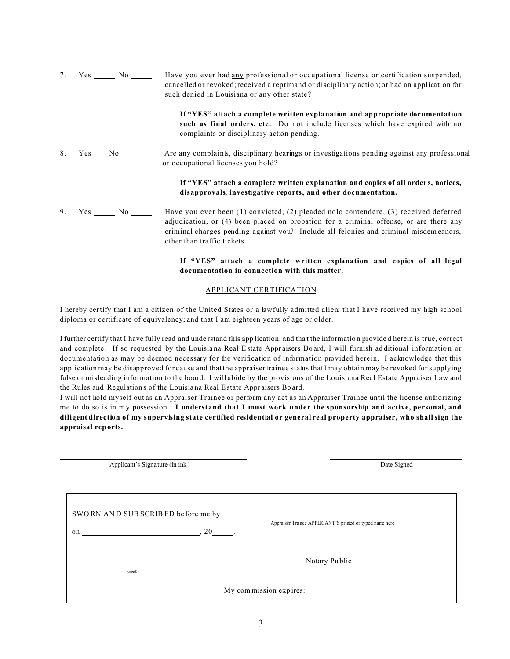7. Yes No No Have you ever had any professional or occupational license or certification suspended, cancelled or revoked; received a reprimand or disciplinary action; or had an application for such denied in Louisiana or any other state? **If "YES" attach a complete written explanation and appropriate documentation such as final orders, etc.** Do not include licenses which have expired with no complaints or disciplinary action pending. 8. Yes No Are any complaints, disciplinary hearings or investigations pending against any professional or occupational licenses you hold? **If "YES" attach a complete written explanation and copies of all orders, notices, disapprovals, investigative reports, and other documentation.** 9. Yes No No Have you ever been (1) convicted, (2) pleaded nolo contendere, (3) received deferred adjudication, or (4) been placed on probation for a criminal offense, or are there any criminal charges pending against you? Include all felonies and criminal misdemeanors, other than traffic tickets.

#### **If "YES" attach a complete written explanation and copies of all legal documentation in connection with this matter.**

#### APPLICANT CERTIFICATION

I hereby certify that I am a citizen of the United States or a lawfully admitted alien; that I have received my high school diploma or certificate of equivalency; and that I am eighteen years of age or older.

I further certify that I have fully read and understand this app lication; and that the information provided herein is true, correct and complete. If so requested by the Louisiana Real Estate Appraisers Board, I will furnish additional information or documentation as may be deemed necessary for the verification of information provided herein. I acknowledge that this application may be disapproved for cause and that the appraiser trainee status that I may obtain may be revoked for supplying false or misleading information to the board. I will abide by the provisions of the Louisiana Real Estate Appraiser Law and the Rules and Regulations of the Louisiana Real Estate Appraisers Board.

I will not hold myself out as an Appraiser Trainee or perform any act as an Appraiser Trainee until the license authorizing me to do so is in my possession. **I understand that I must work under the sponsorship and active, personal, and diligent direction of my supervising state certified residential or general real property appraiser, who shall sign the appraisal reports.**

| Applicant's Signature (in ink)     |                  | Date Signed                                              |
|------------------------------------|------------------|----------------------------------------------------------|
|                                    |                  |                                                          |
| SWORN AND SUB SCRIBED before me by |                  |                                                          |
|                                    |                  | Appraiser Trainee APPLICANT'S printed or typed name here |
| on                                 | $\sim$ 20 $\sim$ |                                                          |
|                                    |                  |                                                          |
|                                    |                  | Notary Public                                            |
| <seal></seal>                      |                  |                                                          |
|                                    |                  | My commission expires:                                   |